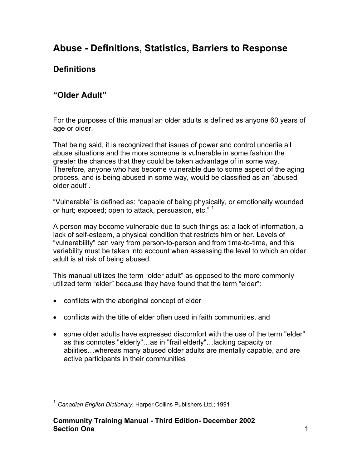# **Abuse - Definitions, Statistics, Barriers to Response**

## **Definitions**

## **"Older Adult"**

For the purposes of this manual an older adults is defined as anyone 60 years of age or older.

That being said, it is recognized that issues of power and control underlie all abuse situations and the more someone is vulnerable in some fashion the greater the chances that they could be taken advantage of in some way. Therefore, anyone who has become vulnerable due to some aspect of the aging process, and is being abused in some way, would be classified as an "abused older adult".

"Vulnerable" is defined as: "capable of being physically, or emotionally wounded or hurt; exposed; open to attack, persuasion, etc." <sup>[1](#page-0-0)</sup>

A person may become vulnerable due to such things as: a lack of information, a lack of self-esteem, a physical condition that restricts him or her. Levels of "vulnerability" can vary from person-to-person and from time-to-time, and this variability must be taken into account when assessing the level to which an older adult is at risk of being abused.

This manual utilizes the term "older adult" as opposed to the more commonly utilized term "elder" because they have found that the term "elder":

- conflicts with the aboriginal concept of elder
- conflicts with the title of elder often used in faith communities, and
- some older adults have expressed discomfort with the use of the term "elder" as this connotes "elderly"…as in "frail elderly"…lacking capacity or abilities…whereas many abused older adults are mentally capable, and are active participants in their communities

<span id="page-0-0"></span> <sup>1</sup> *Canadian English Dictionary*; Harper Collins Publishers Ltd.; 1991

**Community Training Manual - Third Edition- December 2002 Section One** 1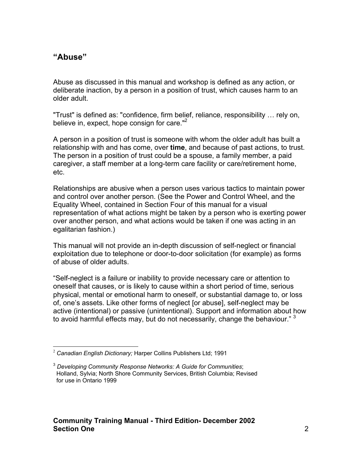### **"Abuse"**

Abuse as discussed in this manual and workshop is defined as any action, or deliberate inaction, by a person in a position of trust, which causes harm to an older adult.

"Trust" is defined as: "confidence, firm belief, reliance, responsibility … rely on, believe in, expect, hope consign for care." $2^2$  $2^2$ 

A person in a position of trust is someone with whom the older adult has built a relationship with and has come, over **time**, and because of past actions, to trust. The person in a position of trust could be a spouse, a family member, a paid caregiver, a staff member at a long-term care facility or care/retirement home, etc.

Relationships are abusive when a person uses various tactics to maintain power and control over another person. (See the Power and Control Wheel, and the Equality Wheel, contained in Section Four of this manual for a visual representation of what actions might be taken by a person who is exerting power over another person, and what actions would be taken if one was acting in an egalitarian fashion.)

This manual will not provide an in-depth discussion of self-neglect or financial exploitation due to telephone or door-to-door solicitation (for example) as forms of abuse of older adults.

"Self-neglect is a failure or inability to provide necessary care or attention to oneself that causes, or is likely to cause within a short period of time, serious physical, mental or emotional harm to oneself, or substantial damage to, or loss of, one's assets. Like other forms of neglect [or abuse], self-neglect may be active (intentional) or passive (unintentional). Support and information about how to avoid harmful effects may, but do not necessarily, change the behaviour."  $3$ 

<span id="page-1-0"></span><sup>2</sup> *Canadian English Dictionary;* Harper Collins Publishers Ltd; 1991

<span id="page-1-1"></span><sup>3</sup> *Developing Community Response Networks: A Guide for Communities*; Holland, Sylvia; North Shore Community Services, British Columbia; Revised for use in Ontario 1999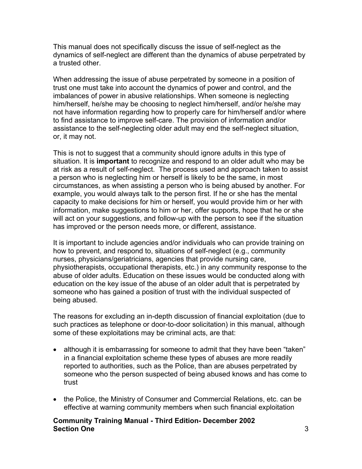This manual does not specifically discuss the issue of self-neglect as the dynamics of self-neglect are different than the dynamics of abuse perpetrated by a trusted other.

When addressing the issue of abuse perpetrated by someone in a position of trust one must take into account the dynamics of power and control, and the imbalances of power in abusive relationships. When someone is neglecting him/herself, he/she may be choosing to neglect him/herself, and/or he/she may not have information regarding how to properly care for him/herself and/or where to find assistance to improve self-care. The provision of information and/or assistance to the self-neglecting older adult may end the self-neglect situation, or, it may not.

This is not to suggest that a community should ignore adults in this type of situation. It is **important** to recognize and respond to an older adult who may be at risk as a result of self-neglect. The process used and approach taken to assist a person who is neglecting him or herself is likely to be the same, in most circumstances, as when assisting a person who is being abused by another. For example, you would always talk to the person first. If he or she has the mental capacity to make decisions for him or herself, you would provide him or her with information, make suggestions to him or her, offer supports, hope that he or she will act on your suggestions, and follow-up with the person to see if the situation has improved or the person needs more, or different, assistance.

It is important to include agencies and/or individuals who can provide training on how to prevent, and respond to, situations of self-neglect (e.g., community nurses, physicians/geriatricians, agencies that provide nursing care, physiotherapists, occupational therapists, etc.) in any community response to the abuse of older adults. Education on these issues would be conducted along with education on the key issue of the abuse of an older adult that is perpetrated by someone who has gained a position of trust with the individual suspected of being abused.

The reasons for excluding an in-depth discussion of financial exploitation (due to such practices as telephone or door-to-door solicitation) in this manual, although some of these exploitations may be criminal acts, are that:

- although it is embarrassing for someone to admit that they have been "taken" in a financial exploitation scheme these types of abuses are more readily reported to authorities, such as the Police, than are abuses perpetrated by someone who the person suspected of being abused knows and has come to trust
- the Police, the Ministry of Consumer and Commercial Relations, etc. can be effective at warning community members when such financial exploitation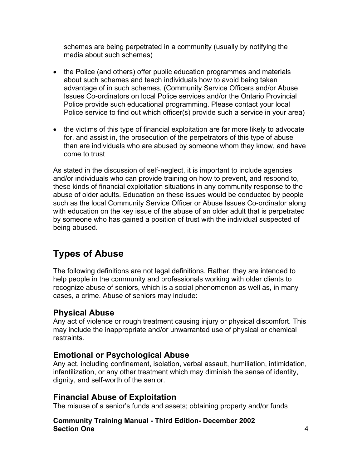schemes are being perpetrated in a community (usually by notifying the media about such schemes)

- the Police (and others) offer public education programmes and materials about such schemes and teach individuals how to avoid being taken advantage of in such schemes, (Community Service Officers and/or Abuse Issues Co-ordinators on local Police services and/or the Ontario Provincial Police provide such educational programming. Please contact your local Police service to find out which officer(s) provide such a service in your area)
- the victims of this type of financial exploitation are far more likely to advocate for, and assist in, the prosecution of the perpetrators of this type of abuse than are individuals who are abused by someone whom they know, and have come to trust

As stated in the discussion of self-neglect, it is important to include agencies and/or individuals who can provide training on how to prevent, and respond to, these kinds of financial exploitation situations in any community response to the abuse of older adults. Education on these issues would be conducted by people such as the local Community Service Officer or Abuse Issues Co-ordinator along with education on the key issue of the abuse of an older adult that is perpetrated by someone who has gained a position of trust with the individual suspected of being abused.

# **Types of Abuse**

The following definitions are not legal definitions. Rather, they are intended to help people in the community and professionals working with older clients to recognize abuse of seniors, which is a social phenomenon as well as, in many cases, a crime. Abuse of seniors may include:

### **Physical Abuse**

Any act of violence or rough treatment causing injury or physical discomfort. This may include the inappropriate and/or unwarranted use of physical or chemical restraints.

### **Emotional or Psychological Abuse**

Any act, including confinement, isolation, verbal assault, humiliation, intimidation, infantilization, or any other treatment which may diminish the sense of identity, dignity, and self-worth of the senior.

### **Financial Abuse of Exploitation**

The misuse of a senior's funds and assets; obtaining property and/or funds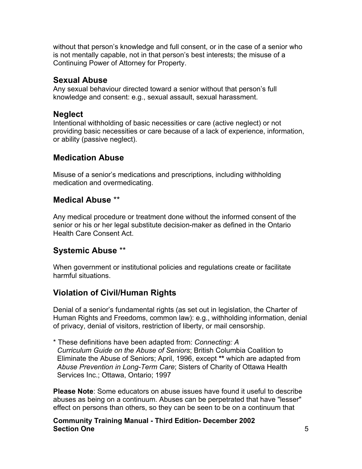without that person's knowledge and full consent, or in the case of a senior who is not mentally capable, not in that person's best interests; the misuse of a Continuing Power of Attorney for Property.

## **Sexual Abuse**

Any sexual behaviour directed toward a senior without that person's full knowledge and consent: e.g., sexual assault, sexual harassment.

## **Neglect**

Intentional withholding of basic necessities or care (active neglect) or not providing basic necessities or care because of a lack of experience, information, or ability (passive neglect).

## **Medication Abuse**

Misuse of a senior's medications and prescriptions, including withholding medication and overmedicating.

## **Medical Abuse** \*\*

Any medical procedure or treatment done without the informed consent of the senior or his or her legal substitute decision-maker as defined in the Ontario Health Care Consent Act.

## **Systemic Abuse** \*\*

When government or institutional policies and regulations create or facilitate harmful situations.

## **Violation of Civil/Human Rights**

Denial of a senior's fundamental rights (as set out in legislation, the Charter of Human Rights and Freedoms, common law): e.g., withholding information, denial of privacy, denial of visitors, restriction of liberty, or mail censorship.

\* These definitions have been adapted from: *Connecting: A Curriculum Guide on the Abuse of Seniors*; British Columbia Coalition to Eliminate the Abuse of Seniors; April, 1996, except **\*\*** which are adapted from *Abuse Prevention in Long-Term Care*; Sisters of Charity of Ottawa Health Services Inc.; Ottawa, Ontario; 1997

**Please Note**: Some educators on abuse issues have found it useful to describe abuses as being on a continuum. Abuses can be perpetrated that have "lesser" effect on persons than others, so they can be seen to be on a continuum that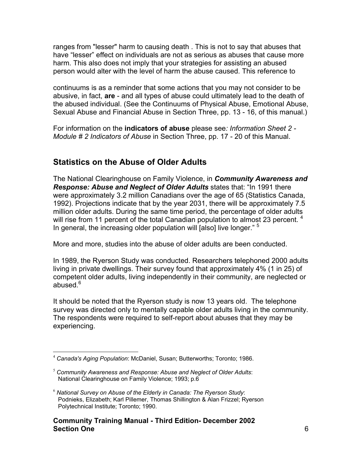ranges from "lesser" harm to causing death . This is not to say that abuses that have "lesser" effect on individuals are not as serious as abuses that cause more harm. This also does not imply that your strategies for assisting an abused person would alter with the level of harm the abuse caused. This reference to

continuums is as a reminder that some actions that you may not consider to be abusive, in fact, **are** - and all types of abuse could ultimately lead to the death of the abused individual. (See the Continuums of Physical Abuse, Emotional Abuse, Sexual Abuse and Financial Abuse in Section Three, pp. 13 - 16, of this manual.)

For information on the **indicators of abuse** please see*: Information Sheet 2 - Module # 2 Indicators of Abuse* in Section Three, pp. 17 - 20 of this Manual.

## **Statistics on the Abuse of Older Adults**

The National Clearinghouse on Family Violence, in *Community Awareness and Response: Abuse and Neglect of Older Adults* states that: "In 1991 there were approximately 3.2 million Canadians over the age of 65 (Statistics Canada, 1992). Projections indicate that by the year 2031, there will be approximately 7.5 million older adults. During the same time period, the percentage of older adults will rise from 11 percent of the total Canadian population to almost 23 percent.  $4$ In general, the increasing older population will [also] live longer." <sup>[5](#page-5-1)</sup>

More and more, studies into the abuse of older adults are been conducted.

In 1989, the Ryerson Study was conducted. Researchers telephoned 2000 adults living in private dwellings. Their survey found that approximately 4% (1 in 25) of competent older adults, living independently in their community, are neglected or abused. $6$ 

It should be noted that the Ryerson study is now 13 years old. The telephone survey was directed only to mentally capable older adults living in the community. The respondents were required to self-report about abuses that they may be experiencing.

<span id="page-5-0"></span><sup>4</sup> *Canada's Aging Population*: McDaniel, Susan; Butterworths; Toronto; 1986.

<span id="page-5-1"></span><sup>5</sup> *Community Awareness and Response: Abuse and Neglect of Older Adults*: National Clearinghouse on Family Violence; 1993; p.6

<span id="page-5-2"></span><sup>6</sup> *National Survey on Abuse of the Elderly in Canada: The Ryerson Study*: Podnieks, Elizabeth; Karl Pillemer, Thomas Shillington & Alan Frizzel; Ryerson Polytechnical Institute; Toronto; 1990.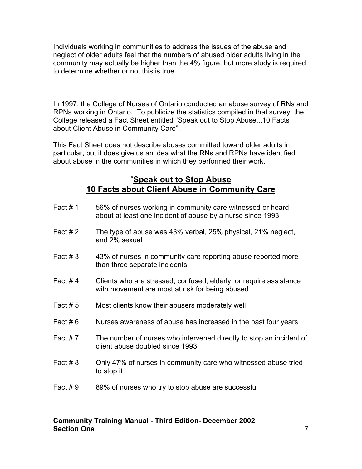Individuals working in communities to address the issues of the abuse and neglect of older adults feel that the numbers of abused older adults living in the community may actually be higher than the 4% figure, but more study is required to determine whether or not this is true.

In 1997, the College of Nurses of Ontario conducted an abuse survey of RNs and RPNs working in Ontario. To publicize the statistics compiled in that survey, the College released a Fact Sheet entitled "Speak out to Stop Abuse...10 Facts about Client Abuse in Community Care".

This Fact Sheet does not describe abuses committed toward older adults in particular, but it does give us an idea what the RNs and RPNs have identified about abuse in the communities in which they performed their work.

### "**Speak out to Stop Abuse 10 Facts about Client Abuse in Community Care**

| Fact #1    | 56% of nurses working in community care witnessed or heard<br>about at least one incident of abuse by a nurse since 1993 |
|------------|--------------------------------------------------------------------------------------------------------------------------|
| Fact $#2$  | The type of abuse was 43% verbal, 25% physical, 21% neglect,<br>and 2% sexual                                            |
| Fact $#3$  | 43% of nurses in community care reporting abuse reported more<br>than three separate incidents                           |
| Fact #4    | Clients who are stressed, confused, elderly, or require assistance<br>with movement are most at risk for being abused    |
| Fact $# 5$ | Most clients know their abusers moderately well                                                                          |
| Fact #6    | Nurses awareness of abuse has increased in the past four years                                                           |
| Fact #7    | The number of nurses who intervened directly to stop an incident of<br>client abuse doubled since 1993                   |
| Fact #8    | Only 47% of nurses in community care who witnessed abuse tried<br>to stop it                                             |
| Fact $# 9$ | 89% of nurses who try to stop abuse are successful                                                                       |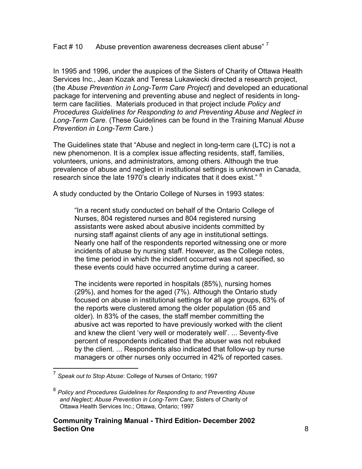### Fact # 10 Abuse prevention awareness decreases client abuse" [7](#page-7-0)

In 1995 and 1996, under the auspices of the Sisters of Charity of Ottawa Health Services Inc., Jean Kozak and Teresa Lukawiecki directed a research project, (the *Abuse Prevention in Long-Term Care Project*) and developed an educational package for intervening and preventing abuse and neglect of residents in longterm care facilities. Materials produced in that project include *Policy and Procedures Guidelines for Responding to and Preventing Abuse and Neglect in Long-Term Care*. (These Guidelines can be found in the Training Manual *Abuse Prevention in Long-Term Care*.)

The Guidelines state that "Abuse and neglect in long-term care (LTC) is not a new phenomenon. It is a complex issue affecting residents, staff, families, volunteers, unions, and administrators, among others. Although the true prevalence of abuse and neglect in institutional settings is unknown in Canada, research since the late 1970's clearly indicates that it does exist." <sup>[8](#page-7-1)</sup>

A study conducted by the Ontario College of Nurses in 1993 states:

"In a recent study conducted on behalf of the Ontario College of Nurses, 804 registered nurses and 804 registered nursing assistants were asked about abusive incidents committed by nursing staff against clients of any age in institutional settings. Nearly one half of the respondents reported witnessing one or more incidents of abuse by nursing staff. However, as the College notes, the time period in which the incident occurred was not specified, so these events could have occurred anytime during a career.

The incidents were reported in hospitals (85%), nursing homes (29%), and homes for the aged (7%). Although the Ontario study focused on abuse in institutional settings for all age groups, 63% of the reports were clustered among the older population (65 and older). In 83% of the cases, the staff member committing the abusive act was reported to have previously worked with the client and knew the client 'very well or moderately well'. ... Seventy-five percent of respondents indicated that the abuser was not rebuked by the client. ... Respondents also indicated that follow-up by nurse managers or other nurses only occurred in 42% of reported cases.

<span id="page-7-0"></span> <sup>7</sup> *Speak out to Stop Abuse*: College of Nurses of Ontario; 1997

<span id="page-7-1"></span><sup>8</sup> *Policy and Procedures Guidelines for Responding to and Preventing Abuse and Neglect; Abuse Prevention in Long-Term Care*; Sisters of Charity of Ottawa Health Services Inc.; Ottawa, Ontario; 1997

**Community Training Manual - Third Edition- December 2002 Section One** 8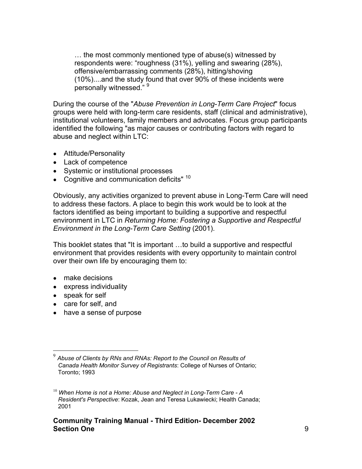… the most commonly mentioned type of abuse(s) witnessed by respondents were: "roughness (31%), yelling and swearing (28%), offensive/embarrassing comments (28%), hitting/shoving (10%)....and the study found that over 90% of these incidents were personally witnessed." [9](#page-8-0)

During the course of the "*Abuse Prevention in Long-Term Care Project*" focus groups were held with long-term care residents, staff (clinical and administrative), institutional volunteers, family members and advocates. Focus group participants identified the following "as major causes or contributing factors with regard to abuse and neglect within LTC:

- Attitude/Personality
- Lack of competence
- Systemic or institutional processes
- Cognitive and communication deficits"  $10$

Obviously, any activities organized to prevent abuse in Long-Term Care will need to address these factors. A place to begin this work would be to look at the factors identified as being important to building a supportive and respectful environment in LTC in *Returning Home: Fostering a Supportive and Respectful Environment in the Long-Term Care Setting* (2001).

This booklet states that "It is important …to build a supportive and respectful environment that provides residents with every opportunity to maintain control over their own life by encouraging them to:

- make decisions
- express individuality
- speak for self
- care for self, and
- have a sense of purpose

<span id="page-8-0"></span><sup>9</sup> *Abuse of Clients by RNs and RNAs: Report to the Council on Results of Canada Health Monitor Survey of Registrants*: College of Nurses of Ontario; Toronto; 1993

<span id="page-8-1"></span><sup>10</sup> *When Home is not a Home: Abuse and Neglect in Long-Term Care - A Resident's Perspective*: Kozak, Jean and Teresa Lukawiecki; Health Canada; 2001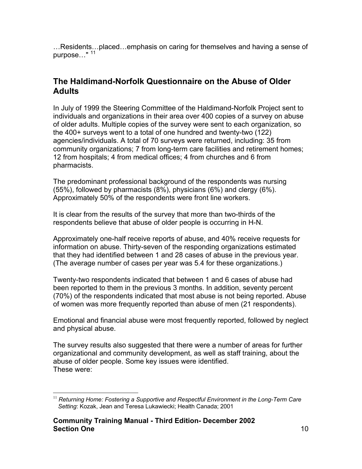…Residents…placed…emphasis on caring for themselves and having a sense of purpose…" <sup>[11](#page-9-0)</sup>

## **The Haldimand-Norfolk Questionnaire on the Abuse of Older Adults**

In July of 1999 the Steering Committee of the Haldimand-Norfolk Project sent to individuals and organizations in their area over 400 copies of a survey on abuse of older adults. Multiple copies of the survey were sent to each organization, so the 400+ surveys went to a total of one hundred and twenty-two (122) agencies/individuals. A total of 70 surveys were returned, including: 35 from community organizations; 7 from long-term care facilities and retirement homes; 12 from hospitals; 4 from medical offices; 4 from churches and 6 from pharmacists.

The predominant professional background of the respondents was nursing (55%), followed by pharmacists (8%), physicians (6%) and clergy (6%). Approximately 50% of the respondents were front line workers.

It is clear from the results of the survey that more than two-thirds of the respondents believe that abuse of older people is occurring in H-N.

Approximately one-half receive reports of abuse, and 40% receive requests for information on abuse. Thirty-seven of the responding organizations estimated that they had identified between 1 and 28 cases of abuse in the previous year. (The average number of cases per year was 5.4 for these organizations.)

Twenty-two respondents indicated that between 1 and 6 cases of abuse had been reported to them in the previous 3 months. In addition, seventy percent (70%) of the respondents indicated that most abuse is not being reported. Abuse of women was more frequently reported than abuse of men (21 respondents).

Emotional and financial abuse were most frequently reported, followed by neglect and physical abuse.

The survey results also suggested that there were a number of areas for further organizational and community development, as well as staff training, about the abuse of older people. Some key issues were identified. These were:

<span id="page-9-0"></span> $\overline{a}$ <sup>11</sup> *Returning Home: Fostering a Supportive and Respectful Environment in the Long-Term Care Setting*: Kozak, Jean and Teresa Lukawiecki; Health Canada; 2001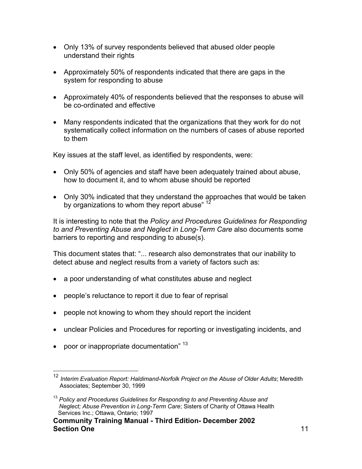- Only 13% of survey respondents believed that abused older people understand their rights
- Approximately 50% of respondents indicated that there are gaps in the system for responding to abuse
- Approximately 40% of respondents believed that the responses to abuse will be co-ordinated and effective
- Many respondents indicated that the organizations that they work for do not systematically collect information on the numbers of cases of abuse reported to them

Key issues at the staff level, as identified by respondents, were:

- Only 50% of agencies and staff have been adequately trained about abuse, how to document it, and to whom abuse should be reported
- Only 30% indicated that they understand the approaches that would be taken by organizations to whom they report abuse" <sup>12</sup>

It is interesting to note that the *Policy and Procedures Guidelines for Responding to and Preventing Abuse and Neglect in Long-Term Care* also documents some barriers to reporting and responding to abuse(s).

This document states that: "... research also demonstrates that our inability to detect abuse and neglect results from a variety of factors such as:

- a poor understanding of what constitutes abuse and neglect
- people's reluctance to report it due to fear of reprisal
- people not knowing to whom they should report the incident
- unclear Policies and Procedures for reporting or investigating incidents, and
- poor or inappropriate documentation"  $13$

<span id="page-10-0"></span> <sup>12</sup> *Interim Evaluation Report: Haldimand-Norfolk Project on the Abuse of Older Adults*; Meredith Associates; September 30, 1999

<span id="page-10-1"></span><sup>&</sup>lt;sup>13</sup> Policy and Procedures Guidelines for Responding to and Preventing Abuse and  *Neglect; Abuse Prevention in Long-Term Care*; Sisters of Charity of Ottawa Health Services Inc.; Ottawa, Ontario; 1997

**Community Training Manual - Third Edition- December 2002 Section One** 11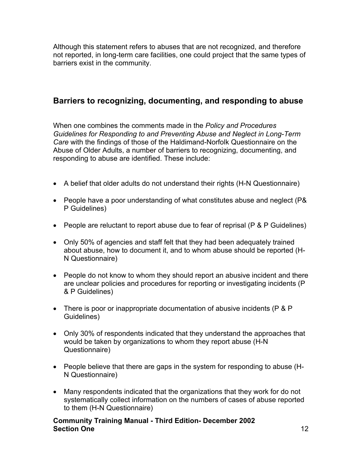Although this statement refers to abuses that are not recognized, and therefore not reported, in long-term care facilities, one could project that the same types of barriers exist in the community.

## **Barriers to recognizing, documenting, and responding to abuse**

When one combines the comments made in the *Policy and Procedures Guidelines for Responding to and Preventing Abuse and Neglect in Long-Term Care* with the findings of those of the Haldimand-Norfolk Questionnaire on the Abuse of Older Adults, a number of barriers to recognizing, documenting, and responding to abuse are identified. These include:

- A belief that older adults do not understand their rights (H-N Questionnaire)
- People have a poor understanding of what constitutes abuse and neglect (P& P Guidelines)
- People are reluctant to report abuse due to fear of reprisal (P & P Guidelines)
- Only 50% of agencies and staff felt that they had been adequately trained about abuse, how to document it, and to whom abuse should be reported (H-N Questionnaire)
- People do not know to whom they should report an abusive incident and there are unclear policies and procedures for reporting or investigating incidents (P & P Guidelines)
- There is poor or inappropriate documentation of abusive incidents (P & P Guidelines)
- Only 30% of respondents indicated that they understand the approaches that would be taken by organizations to whom they report abuse (H-N Questionnaire)
- People believe that there are gaps in the system for responding to abuse (H-N Questionnaire)
- Many respondents indicated that the organizations that they work for do not systematically collect information on the numbers of cases of abuse reported to them (H-N Questionnaire)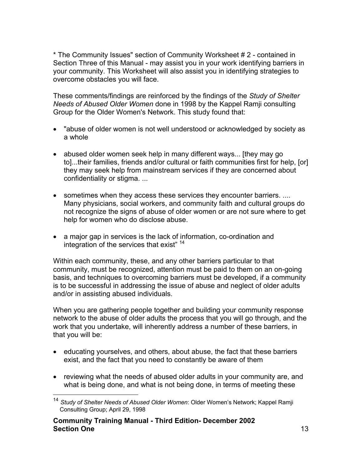\* The Community Issues" section of Community Worksheet # 2 - contained in Section Three of this Manual - may assist you in your work identifying barriers in your community. This Worksheet will also assist you in identifying strategies to overcome obstacles you will face.

These comments/findings are reinforced by the findings of the *Study of Shelter Needs of Abused Older Women* done in 1998 by the Kappel Ramji consulting Group for the Older Women's Network. This study found that:

- "abuse of older women is not well understood or acknowledged by society as a whole
- abused older women seek help in many different ways... [they may go to]...their families, friends and/or cultural or faith communities first for help, [or] they may seek help from mainstream services if they are concerned about confidentiality or stigma. ...
- sometimes when they access these services they encounter barriers. .... Many physicians, social workers, and community faith and cultural groups do not recognize the signs of abuse of older women or are not sure where to get help for women who do disclose abuse.
- a major gap in services is the lack of information, co-ordination and integration of the services that exist"<sup>[14](#page-12-0)</sup>

Within each community, these, and any other barriers particular to that community, must be recognized, attention must be paid to them on an on-going basis, and techniques to overcoming barriers must be developed, if a community is to be successful in addressing the issue of abuse and neglect of older adults and/or in assisting abused individuals.

When you are gathering people together and building your community response network to the abuse of older adults the process that you will go through, and the work that you undertake, will inherently address a number of these barriers, in that you will be:

- educating yourselves, and others, about abuse, the fact that these barriers exist, and the fact that you need to constantly be aware of them
- reviewing what the needs of abused older adults in your community are, and what is being done, and what is not being done, in terms of meeting these

<span id="page-12-0"></span> <sup>14</sup> *Study of Shelter Needs of Abused Older Women*: Older Women's Network; Kappel Ramji Consulting Group; April 29, 1998

**Community Training Manual - Third Edition- December 2002 Section One** 13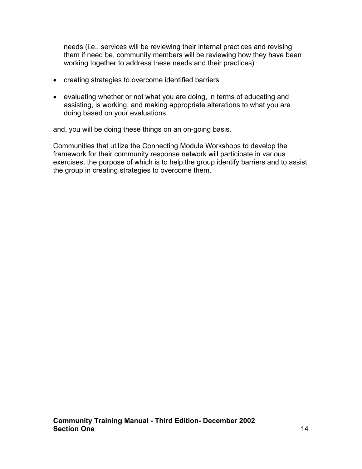needs (i.e., services will be reviewing their internal practices and revising them if need be, community members will be reviewing how they have been working together to address these needs and their practices)

- creating strategies to overcome identified barriers
- evaluating whether or not what you are doing, in terms of educating and assisting, is working, and making appropriate alterations to what you are doing based on your evaluations

and, you will be doing these things on an on-going basis.

Communities that utilize the Connecting Module Workshops to develop the framework for their community response network will participate in various exercises, the purpose of which is to help the group identify barriers and to assist the group in creating strategies to overcome them.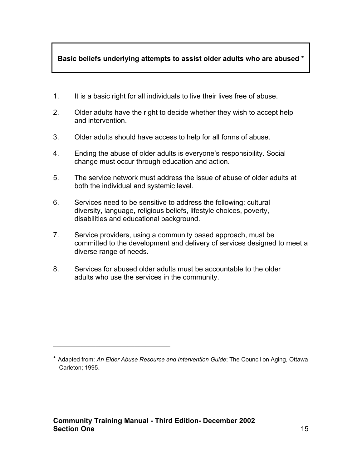### **Basic beliefs underlying attempts to assist older adults who are abused \***

- 1. It is a basic right for all individuals to live their lives free of abuse.
- 2. Older adults have the right to decide whether they wish to accept help and intervention.
- 3. Older adults should have access to help for all forms of abuse.
- 4. Ending the abuse of older adults is everyone's responsibility. Social change must occur through education and action.
- 5. The service network must address the issue of abuse of older adults at both the individual and systemic level.
- 6. Services need to be sensitive to address the following: cultural diversity, language, religious beliefs, lifestyle choices, poverty, disabilities and educational background.
- 7. Service providers, using a community based approach, must be committed to the development and delivery of services designed to meet a diverse range of needs.
- 8. Services for abused older adults must be accountable to the older adults who use the services in the community.

### **Community Training Manual - Third Edition- December 2002 Section One** 15

 $\mathcal{L}=\mathcal{L}=\mathcal{L}=\mathcal{L}=\mathcal{L}=\mathcal{L}=\mathcal{L}=\mathcal{L}=\mathcal{L}=\mathcal{L}=\mathcal{L}=\mathcal{L}=\mathcal{L}=\mathcal{L}=\mathcal{L}=\mathcal{L}=\mathcal{L}=\mathcal{L}=\mathcal{L}=\mathcal{L}=\mathcal{L}=\mathcal{L}=\mathcal{L}=\mathcal{L}=\mathcal{L}=\mathcal{L}=\mathcal{L}=\mathcal{L}=\mathcal{L}=\mathcal{L}=\mathcal{L}=\mathcal{L}=\mathcal{L}=\mathcal{L}=\mathcal{L}=\mathcal{L}=\mathcal{$ 

<sup>\*</sup> Adapted from: *An Elder Abuse Resource and Intervention Guide*; The Council on Aging, Ottawa -Carleton; 1995.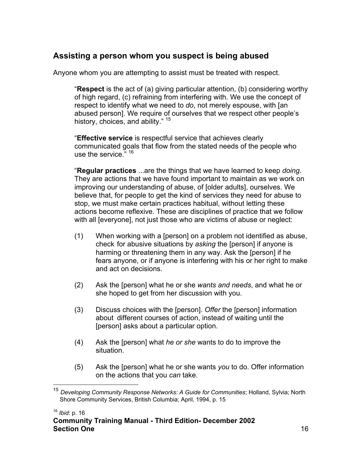## **Assisting a person whom you suspect is being abused**

Anyone whom you are attempting to assist must be treated with respect.

"**Respect** is the act of (a) giving particular attention, (b) considering worthy of high regard, (c) refraining from interfering with. We use the concept of respect to identify what we need to *do*, not merely espouse, with [an abused person]. We require of ourselves that we respect other people's history, choices, and ability." <sup>[15](#page-15-0)</sup>

"**Effective service** is respectful service that achieves clearly communicated goals that flow from the stated needs of the people who use the service." [16](#page-15-1)

"**Regular practices** ...are the things that we have learned to keep *doing*. They are actions that we have found important to maintain as we work on improving our understanding of abuse, of [older adults], ourselves. We believe that, for people to get the kind of services they need for abuse to stop, we must make certain practices habitual, without letting these actions become reflexive. These are disciplines of practice that we follow with all [everyone], not just those who are victims of abuse or neglect:

- (1) When working with a [person] on a problem not identified as abuse, check for abusive situations by *asking* the [person] if anyone is harming or threatening them in any way. Ask the [person] if he fears anyone, or if anyone is interfering with his or her right to make and act on decisions.
- (2) Ask the [person] what he or she *wants and needs*, and what he or she hoped to get from her discussion with you.
- (3) Discuss choices with the [person]. *Offer* the [person] information about different courses of action, instead of waiting until the [person] asks about a particular option.
- (4) Ask the [person] what *he or she* wants to do to improve the situation.
- (5) Ask the [person] what he or she wants *you* to do. Offer information on the actions that you *can* take.

<span id="page-15-1"></span><sup>16</sup> *Ibid*: p. 16

<span id="page-15-0"></span> <sup>15</sup> *Developing Community Response Networks: A Guide for Communities*; Holland, Sylvia; North Shore Community Services, British Columbia; April, 1994, p. 15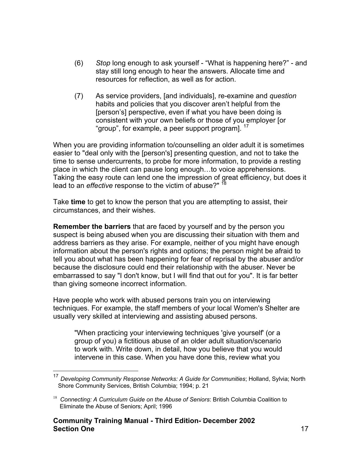- (6) *Stop* long enough to ask yourself "What is happening here?" and stay still long enough to hear the answers. Allocate time and resources for reflection, as well as for action.
- (7) As service providers, [and individuals], re-examine and *question* habits and policies that you discover aren't helpful from the [person's] perspective, even if what you have been doing is consistent with your own beliefs or those of you employer [or "group", for example, a peer support programl.<sup>17</sup>

When you are providing information to/counselling an older adult it is sometimes easier to "deal only with the [person's] presenting question, and not to take the time to sense undercurrents, to probe for more information, to provide a resting place in which the client can pause long enough…to voice apprehensions. Taking the easy route can lend one the impression of great efficiency, but does it lead to an *effective* response to the victim of abuse?" [18](#page-16-1) 

Take **time** to get to know the person that you are attempting to assist, their circumstances, and their wishes.

**Remember the barriers** that are faced by yourself and by the person you suspect is being abused when you are discussing their situation with them and address barriers as they arise. For example, neither of you might have enough information about the person's rights and options; the person might be afraid to tell you about what has been happening for fear of reprisal by the abuser and/or because the disclosure could end their relationship with the abuser. Never be embarrassed to say "I don't know, but I will find that out for you". It is far better than giving someone incorrect information.

Have people who work with abused persons train you on interviewing techniques. For example, the staff members of your local Women's Shelter are usually very skilled at interviewing and assisting abused persons.

"When practicing your interviewing techniques 'give yourself' (or a group of you) a fictitious abuse of an older adult situation/scenario to work with. Write down, in detail, how you believe that you would intervene in this case. When you have done this, review what you

<span id="page-16-0"></span> <sup>17</sup> *Developing Community Response Networks: A Guide for Communities*; Holland, Sylvia; North Shore Community Services, British Columbia; 1994; p. 21

<span id="page-16-1"></span><sup>&</sup>lt;sup>18</sup> Connecting: A Curriculum Guide on the Abuse of Seniors: British Columbia Coalition to Eliminate the Abuse of Seniors; April; 1996

**Community Training Manual - Third Edition- December 2002 Section One** 17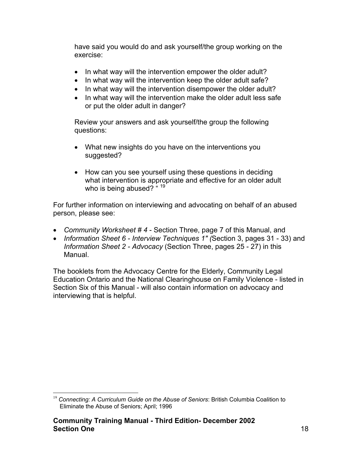have said you would do and ask yourself/the group working on the exercise:

- In what way will the intervention empower the older adult?
- In what way will the intervention keep the older adult safe?
- In what way will the intervention disempower the older adult?
- In what way will the intervention make the older adult less safe or put the older adult in danger?

Review your answers and ask yourself/the group the following questions:

- What new insights do you have on the interventions you suggested?
- How can you see yourself using these questions in deciding what intervention is appropriate and effective for an older adult who is being abused?  $4^{19}$  $4^{19}$  $4^{19}$

For further information on interviewing and advocating on behalf of an abused person, please see:

- *Community Worksheet # 4* Section Three, page 7 of this Manual, and
- *Information Sheet 6 Interview Techniques 1" (*Section 3, pages 31 33) and *Information Sheet 2 - Advocacy* (Section Three, pages 25 - 27) in this Manual.

The booklets from the Advocacy Centre for the Elderly, Community Legal Education Ontario and the National Clearinghouse on Family Violence - listed in Section Six of this Manual - will also contain information on advocacy and interviewing that is helpful.

<span id="page-17-0"></span><sup>&</sup>lt;sup>19</sup> Connecting: A Curriculum Guide on the Abuse of Seniors: British Columbia Coalition to Eliminate the Abuse of Seniors; April; 1996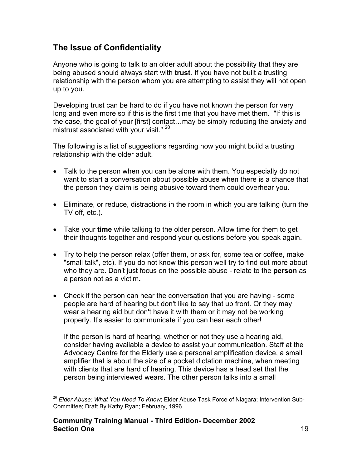## **The Issue of Confidentiality**

Anyone who is going to talk to an older adult about the possibility that they are being abused should always start with **trust**. If you have not built a trusting relationship with the person whom you are attempting to assist they will not open up to you.

Developing trust can be hard to do if you have not known the person for very long and even more so if this is the first time that you have met them. "If this is the case, the goal of your [first] contact…may be simply reducing the anxiety and mistrust associated with your visit."<sup>20</sup>

The following is a list of suggestions regarding how you might build a trusting relationship with the older adult.

- Talk to the person when you can be alone with them. You especially do not want to start a conversation about possible abuse when there is a chance that the person they claim is being abusive toward them could overhear you.
- Eliminate, or reduce, distractions in the room in which you are talking (turn the TV off, etc.).
- Take your **time** while talking to the older person. Allow time for them to get their thoughts together and respond your questions before you speak again.
- Try to help the person relax (offer them, or ask for, some tea or coffee, make "small talk", etc). If you do not know this person well try to find out more about who they are. Don't just focus on the possible abuse - relate to the **person** as a person not as a victim**.**
- Check if the person can hear the conversation that you are having some people are hard of hearing but don't like to say that up front. Or they may wear a hearing aid but don't have it with them or it may not be working properly. It's easier to communicate if you can hear each other!

If the person is hard of hearing, whether or not they use a hearing aid, consider having available a device to assist your communication. Staff at the Advocacy Centre for the Elderly use a personal amplification device, a small amplifier that is about the size of a pocket dictation machine, when meeting with clients that are hard of hearing. This device has a head set that the person being interviewed wears. The other person talks into a small

<span id="page-18-0"></span><sup>&</sup>lt;sup>20</sup> Elder Abuse: What You Need To Know; Elder Abuse Task Force of Niagara; Intervention Sub-Committee; Draft By Kathy Ryan; February, 1996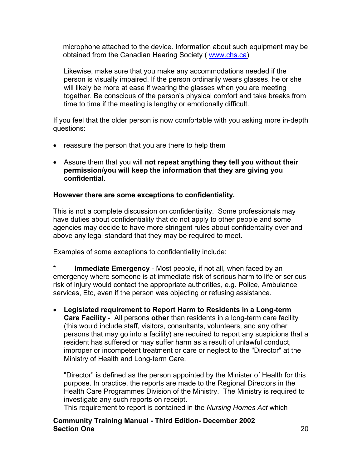microphone attached to the device. Information about such equipment may be obtained from the Canadian Hearing Society ( [www.chs.ca\)](http://www.chs.ca/)

Likewise, make sure that you make any accommodations needed if the person is visually impaired. If the person ordinarily wears glasses, he or she will likely be more at ease if wearing the glasses when you are meeting together. Be conscious of the person's physical comfort and take breaks from time to time if the meeting is lengthy or emotionally difficult.

If you feel that the older person is now comfortable with you asking more in-depth questions:

- reassure the person that you are there to help them
- Assure them that you will **not repeat anything they tell you without their permission/you will keep the information that they are giving you confidential.**

### **However there are some exceptions to confidentiality.**

This is not a complete discussion on confidentiality. Some professionals may have duties about confidentiality that do not apply to other people and some agencies may decide to have more stringent rules about confidentality over and above any legal standard that they may be required to meet.

Examples of some exceptions to confidentiality include:

**Immediate Emergency** - Most people, if not all, when faced by an emergency where someone is at immediate risk of serious harm to life or serious risk of injury would contact the appropriate authorities, e.g. Police, Ambulance services, Etc, even if the person was objecting or refusing assistance.

• **Legislated requirement to Report Harm to Residents in a Long-term Care Facility** - All persons **other** than residents in a long-term care facility (this would include staff, visitors, consultants, volunteers, and any other persons that may go into a facility) are required to report any suspicions that a resident has suffered or may suffer harm as a result of unlawful conduct, improper or incompetent treatment or care or neglect to the "Director" at the Ministry of Health and Long-term Care.

"Director" is defined as the person appointed by the Minister of Health for this purpose. In practice, the reports are made to the Regional Directors in the Health Care Programmes Division of the Ministry. The Ministry is required to investigate any such reports on receipt.

This requirement to report is contained in the *Nursing Homes Act* which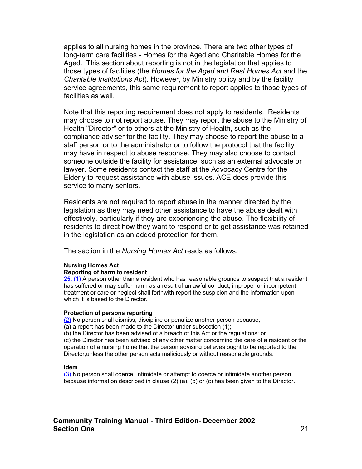applies to all nursing homes in the province. There are two other types of long-term care facilities - Homes for the Aged and Charitable Homes for the Aged. This section about reporting is not in the legislation that applies to those types of facilities (the *Homes for the Aged and Rest Homes Act* and the *Charitable Institutions Act*). However, by Ministry policy and by the facility service agreements, this same requirement to report applies to those types of facilities as well.

Note that this reporting requirement does not apply to residents. Residents may choose to not report abuse. They may report the abuse to the Ministry of Health "Director" or to others at the Ministry of Health, such as the compliance adviser for the facility. They may choose to report the abuse to a staff person or to the administrator or to follow the protocol that the facility may have in respect to abuse response. They may also choose to contact someone outside the facility for assistance, such as an external advocate or lawyer. Some residents contact the staff at the Advocacy Centre for the Elderly to request assistance with abuse issues. ACE does provide this service to many seniors.

Residents are not required to report abuse in the manner directed by the legislation as they may need other assistance to have the abuse dealt with effectively, particularly if they are experiencing the abuse. The flexibility of residents to direct how they want to respond or to get assistance was retained in the legislation as an added protection for them.

The section in the *Nursing Homes Act* reads as follows:

#### **Nursing Homes Act**

#### **Reporting of harm to resident**

**25.** [\(1\)](http://www.e-laws.gov.on.ca/DBLaws/Statutes/French/90n07_f.htm) A person other than a resident who has reasonable grounds to suspect that a resident has suffered or may suffer harm as a result of unlawful conduct, improper or incompetent treatment or care or neglect shall forthwith report the suspicion and the information upon which it is based to the Director.

#### **Protection of persons reporting**

[\(2\)](http://www.e-laws.gov.on.ca/DBLaws/Statutes/French/90n07_f.htm) No person shall dismiss, discipline or penalize another person because,

(a) a report has been made to the Director under subsection (1);

(b) the Director has been advised of a breach of this Act or the regulations; or (c) the Director has been advised of any other matter concerning the care of a resident or the operation of a nursing home that the person advising believes ought to be reported to the Director,unless the other person acts maliciously or without reasonable grounds.

#### **Idem**

[\(3\)](http://www.e-laws.gov.on.ca/DBLaws/Statutes/French/90n07_f.htm) No person shall coerce, intimidate or attempt to coerce or intimidate another person because information described in clause (2) (a), (b) or (c) has been given to the Director.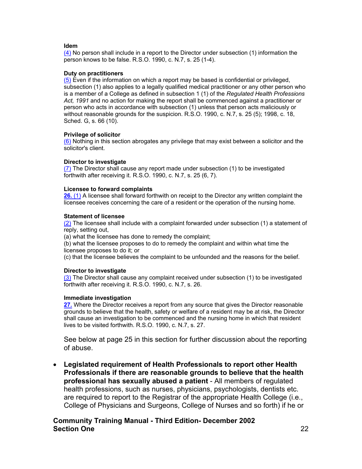#### **Idem**

[\(4\)](http://www.e-laws.gov.on.ca/DBLaws/Statutes/French/90n07_f.htm) No person shall include in a report to the Director under subsection (1) information the person knows to be false. R.S.O. 1990, c. N.7, s. 25 (1-4).

#### **Duty on practitioners**

[\(5\)](http://www.e-laws.gov.on.ca/DBLaws/Statutes/French/90n07_f.htm) Even if the information on which a report may be based is confidential or privileged, subsection (1) also applies to a legally qualified medical practitioner or any other person who is a member of a College as defined in subsection 1 (1) of the *Regulated Health Professions Act, 1991* and no action for making the report shall be commenced against a practitioner or person who acts in accordance with subsection (1) unless that person acts maliciously or without reasonable grounds for the suspicion. R.S.O. 1990, c. N.7, s. 25 (5); 1998, c. 18, Sched. G, s. 66 (10).

#### **Privilege of solicitor**

[\(6\)](http://www.e-laws.gov.on.ca/DBLaws/Statutes/French/90n07_f.htm) Nothing in this section abrogates any privilege that may exist between a solicitor and the solicitor's client.

#### **Director to investigate**

[\(7\)](http://www.e-laws.gov.on.ca/DBLaws/Statutes/French/90n07_f.htm) The Director shall cause any report made under subsection (1) to be investigated forthwith after receiving it. R.S.O. 1990, c. N.7, s. 25 (6, 7).

#### **Licensee to forward complaints**

**26.** [\(1\)](http://www.e-laws.gov.on.ca/DBLaws/Statutes/French/90n07_f.htm) A licensee shall forward forthwith on receipt to the Director any written complaint the licensee receives concerning the care of a resident or the operation of the nursing home.

#### **Statement of licensee**

 $(2)$  The licensee shall include with a complaint forwarded under subsection  $(1)$  a statement of reply, setting out,

(a) what the licensee has done to remedy the complaint;

(b) what the licensee proposes to do to remedy the complaint and within what time the licensee proposes to do it; or

(c) that the licensee believes the complaint to be unfounded and the reasons for the belief.

#### **Director to investigate**

[\(3\)](http://www.e-laws.gov.on.ca/DBLaws/Statutes/French/90n07_f.htm) The Director shall cause any complaint received under subsection (1) to be investigated forthwith after receiving it. R.S.O. 1990, c. N.7, s. 26.

#### **Immediate investigation**

**[27.](http://www.e-laws.gov.on.ca/DBLaws/Statutes/French/90n07_f.htm)** Where the Director receives a report from any source that gives the Director reasonable grounds to believe that the health, safety or welfare of a resident may be at risk, the Director shall cause an investigation to be commenced and the nursing home in which that resident lives to be visited forthwith. R.S.O. 1990, c. N.7, s. 27.

See below at page 25 in this section for further discussion about the reporting of abuse.

• **Legislated requirement of Health Professionals to report other Health Professionals if there are reasonable grounds to believe that the health professional has sexually abused a patient** - All members of regulated health professions, such as nurses, physicians, psychologists, dentists etc. are required to report to the Registrar of the appropriate Health College (i.e., College of Physicians and Surgeons, College of Nurses and so forth) if he or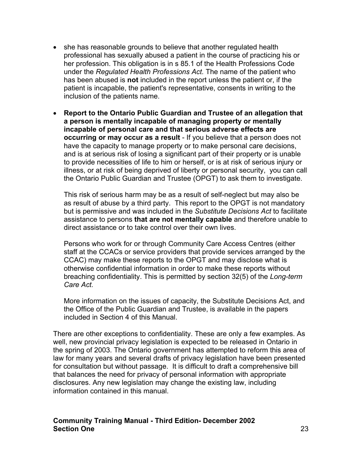- she has reasonable grounds to believe that another regulated health professional has sexually abused a patient in the course of practicing his or her profession. This obligation is in s 85.1 of the Health Professions Code under the *Regulated Health Professions Act.* The name of the patient who has been abused is **not** included in the report unless the patient or, if the patient is incapable, the patient's representative, consents in writing to the inclusion of the patients name.
- **Report to the Ontario Public Guardian and Trustee of an allegation that a person is mentally incapable of managing property or mentally incapable of personal care and that serious adverse effects are occurring or may occur as a result** - If you believe that a person does not have the capacity to manage property or to make personal care decisions, and is at serious risk of losing a significant part of their property or is unable to provide necessities of life to him or herself, or is at risk of serious injury or illness, or at risk of being deprived of liberty or personal security, you can call the Ontario Public Guardian and Trustee (OPGT) to ask them to investigate.

This risk of serious harm may be as a result of self-neglect but may also be as result of abuse by a third party. This report to the OPGT is not mandatory but is permissive and was included in the *Substitute Decisions Act* to facilitate assistance to persons **that are not mentally capable** and therefore unable to direct assistance or to take control over their own lives.

Persons who work for or through Community Care Access Centres (either staff at the CCACs or service providers that provide services arranged by the CCAC) may make these reports to the OPGT and may disclose what is otherwise confidential information in order to make these reports without breaching confidentiality. This is permitted by section 32(5) of the *Long-term Care Act.* 

More information on the issues of capacity, the Substitute Decisions Act, and the Office of the Public Guardian and Trustee, is available in the papers included in Section 4 of this Manual.

There are other exceptions to confidentiality. These are only a few examples. As well, new provincial privacy legislation is expected to be released in Ontario in the spring of 2003. The Ontario government has attempted to reform this area of law for many years and several drafts of privacy legislation have been presented for consultation but without passage. It is difficult to draft a comprehensive bill that balances the need for privacy of personal information with appropriate disclosures. Any new legislation may change the existing law, including information contained in this manual.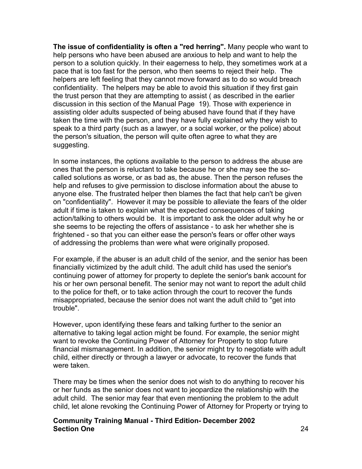**The issue of confidentiality is often a "red herring".** Many people who want to help persons who have been abused are anxious to help and want to help the person to a solution quickly. In their eagerness to help, they sometimes work at a pace that is too fast for the person, who then seems to reject their help. The helpers are left feeling that they cannot move forward as to do so would breach confidentiality. The helpers may be able to avoid this situation if they first gain the trust person that they are attempting to assist ( as described in the earlier discussion in this section of the Manual Page 19). Those with experience in assisting older adults suspected of being abused have found that if they have taken the time with the person, and they have fully explained why they wish to speak to a third party (such as a lawyer, or a social worker, or the police) about the person's situation, the person will quite often agree to what they are suggesting.

In some instances, the options available to the person to address the abuse are ones that the person is reluctant to take because he or she may see the socalled solutions as worse, or as bad as, the abuse. Then the person refuses the help and refuses to give permission to disclose information about the abuse to anyone else. The frustrated helper then blames the fact that help can't be given on "confidentiality". However it may be possible to alleviate the fears of the older adult if time is taken to explain what the expected consequences of taking action/talking to others would be. It is important to ask the older adult why he or she seems to be rejecting the offers of assistance - to ask her whether she is frightened - so that you can either ease the person's fears or offer other ways of addressing the problems than were what were originally proposed.

For example, if the abuser is an adult child of the senior, and the senior has been financially victimized by the adult child. The adult child has used the senior's continuing power of attorney for property to deplete the senior's bank account for his or her own personal benefit. The senior may not want to report the adult child to the police for theft, or to take action through the court to recover the funds misappropriated, because the senior does not want the adult child to "get into trouble".

However, upon identifying these fears and talking further to the senior an alternative to taking legal action might be found. For example, the senior might want to revoke the Continuing Power of Attorney for Property to stop future financial mismanagement. In addition, the senior might try to negotiate with adult child, either directly or through a lawyer or advocate, to recover the funds that were taken.

There may be times when the senior does not wish to do anything to recover his or her funds as the senior does not want to jeopardize the relationship with the adult child. The senior may fear that even mentioning the problem to the adult child, let alone revoking the Continuing Power of Attorney for Property or trying to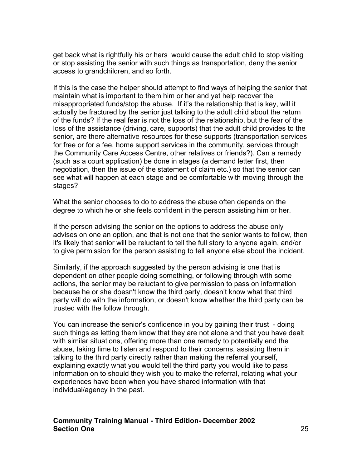get back what is rightfully his or hers would cause the adult child to stop visiting or stop assisting the senior with such things as transportation, deny the senior access to grandchildren, and so forth.

If this is the case the helper should attempt to find ways of helping the senior that maintain what is important to them him or her and yet help recover the misappropriated funds/stop the abuse. If it's the relationship that is key, will it actually be fractured by the senior just talking to the adult child about the return of the funds? If the real fear is not the loss of the relationship, but the fear of the loss of the assistance (driving, care, supports) that the adult child provides to the senior, are there alternative resources for these supports (transportation services for free or for a fee, home support services in the community, services through the Community Care Access Centre, other relatives or friends?). Can a remedy (such as a court application) be done in stages (a demand letter first, then negotiation, then the issue of the statement of claim etc.) so that the senior can see what will happen at each stage and be comfortable with moving through the stages?

What the senior chooses to do to address the abuse often depends on the degree to which he or she feels confident in the person assisting him or her.

If the person advising the senior on the options to address the abuse only advises on one an option, and that is not one that the senior wants to follow, then it's likely that senior will be reluctant to tell the full story to anyone again, and/or to give permission for the person assisting to tell anyone else about the incident.

Similarly, if the approach suggested by the person advising is one that is dependent on other people doing something, or following through with some actions, the senior may be reluctant to give permission to pass on information because he or she doesn't know the third party, doesn't know what that third party will do with the information, or doesn't know whether the third party can be trusted with the follow through.

You can increase the senior's confidence in you by gaining their trust - doing such things as letting them know that they are not alone and that you have dealt with similar situations, offering more than one remedy to potentially end the abuse, taking time to listen and respond to their concerns, assisting them in talking to the third party directly rather than making the referral yourself, explaining exactly what you would tell the third party you would like to pass information on to should they wish you to make the referral, relating what your experiences have been when you have shared information with that individual/agency in the past.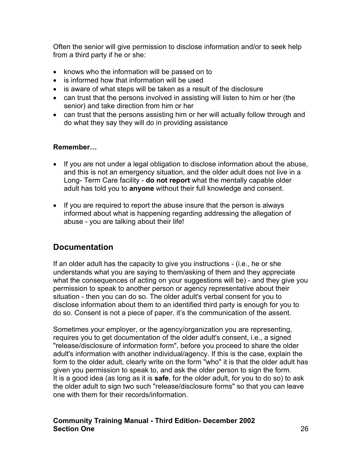Often the senior will give permission to disclose information and/or to seek help from a third party if he or she:

- knows who the information will be passed on to
- is informed how that information will be used
- is aware of what steps will be taken as a result of the disclosure
- can trust that the persons involved in assisting will listen to him or her (the senior) and take direction from him or her
- can trust that the persons assisting him or her will actually follow through and do what they say they will do in providing assistance

### **Remember…**

- If you are not under a legal obligation to disclose information about the abuse, and this is not an emergency situation, and the older adult does not live in a Long- Term Care facility - **do not report** what the mentally capable older adult has told you to **anyone** without their full knowledge and consent.
- If you are required to report the abuse insure that the person is always informed about what is happening regarding addressing the allegation of abuse - you are talking about their life!

## **Documentation**

If an older adult has the capacity to give you instructions - (i.e., he or she understands what you are saying to them/asking of them and they appreciate what the consequences of acting on your suggestions will be) - and they give you permission to speak to another person or agency representative about their situation - then you can do so. The older adult's verbal consent for you to disclose information about them to an identified third party is enough for you to do so. Consent is not a piece of paper, it's the communication of the assent.

Sometimes your employer, or the agency/organization you are representing, requires you to get documentation of the older adult's consent, i.e., a signed "release/disclosure of information form", before you proceed to share the older adult's information with another individual/agency. If this is the case, explain the form to the older adult, clearly write on the form "who" it is that the older adult has given you permission to speak to, and ask the older person to sign the form. It is a good idea (as long as it is **safe**, for the older adult, for you to do so) to ask the older adult to sign two such "release/disclosure forms" so that you can leave one with them for their records/information.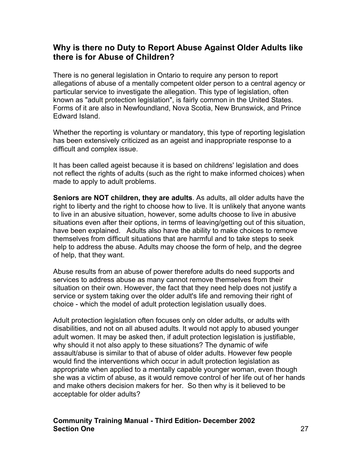## **Why is there no Duty to Report Abuse Against Older Adults like there is for Abuse of Children?**

There is no general legislation in Ontario to require any person to report allegations of abuse of a mentally competent older person to a central agency or particular service to investigate the allegation. This type of legislation, often known as "adult protection legislation", is fairly common in the United States. Forms of it are also in Newfoundland, Nova Scotia, New Brunswick, and Prince Edward Island.

Whether the reporting is voluntary or mandatory, this type of reporting legislation has been extensively criticized as an ageist and inappropriate response to a difficult and complex issue.

It has been called ageist because it is based on childrens' legislation and does not reflect the rights of adults (such as the right to make informed choices) when made to apply to adult problems.

**Seniors are NOT children, they are adults**. As adults, all older adults have the right to liberty and the right to choose how to live. It is unlikely that anyone wants to live in an abusive situation, however, some adults choose to live in abusive situations even after their options, in terms of leaving/getting out of this situation, have been explained. Adults also have the ability to make choices to remove themselves from difficult situations that are harmful and to take steps to seek help to address the abuse. Adults may choose the form of help, and the degree of help, that they want.

Abuse results from an abuse of power therefore adults do need supports and services to address abuse as many cannot remove themselves from their situation on their own. However, the fact that they need help does not justify a service or system taking over the older adult's life and removing their right of choice - which the model of adult protection legislation usually does.

Adult protection legislation often focuses only on older adults, or adults with disabilities, and not on all abused adults. It would not apply to abused younger adult women. It may be asked then, if adult protection legislation is justifiable, why should it not also apply to these situations? The dynamic of wife assault/abuse is similar to that of abuse of older adults. However few people would find the interventions which occur in adult protection legislation as appropriate when applied to a mentally capable younger woman, even though she was a victim of abuse, as it would remove control of her life out of her hands and make others decision makers for her. So then why is it believed to be acceptable for older adults?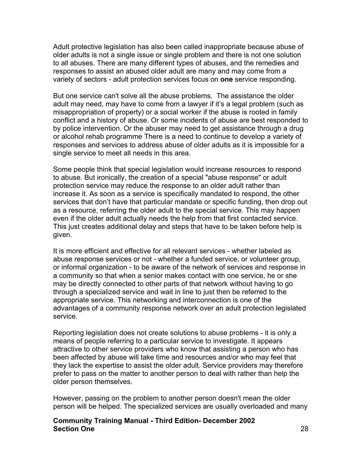Adult protective legislation has also been called inappropriate because abuse of older adults is not a single issue or single problem and there is not one solution to all abuses. There are many different types of abuses, and the remedies and responses to assist an abused older adult are many and may come from a variety of sectors - adult protection services focus on **one** service responding.

But one service can't solve all the abuse problems. The assistance the older adult may need, may have to come from a lawyer if it's a legal problem (such as misappropriation of property) or a social worker if the abuse is rooted in family conflict and a history of abuse. Or some incidents of abuse are best responded to by police intervention. Or the abuser may need to get assistance through a drug or alcohol rehab programme There is a need to continue to develop a variety of responses and services to address abuse of older adults as it is impossible for a single service to meet all needs in this area.

Some people think that special legislation would increase resources to respond to abuse. But ironically, the creation of a special "abuse response" or adult protection service may reduce the response to an older adult rather than increase it. As soon as a service is specifically mandated to respond, the other services that don't have that particular mandate or specific funding, then drop out as a resource, referring the older adult to the special service. This may happen even if the older adult actually needs the help from that first contacted service. This just creates additional delay and steps that have to be taken before help is given.

It is more efficient and effective for all relevant services - whether labeled as abuse response services or not - whether a funded service, or volunteer group, or informal organization - to be aware of the network of services and response in a community so that when a senior makes contact with one service, he or she may be directly connected to other parts of that network without having to go through a specialized service and wait in line to just then be referred to the appropriate service. This networking and interconnection is one of the advantages of a community response network over an adult protection legislated service.

Reporting legislation does not create solutions to abuse problems - it is only a means of people referring to a particular service to investigate. It appears attractive to other service providers who know that assisting a person who has been affected by abuse will take time and resources and/or who may feel that they lack the expertise to assist the older adult. Service providers may therefore prefer to pass on the matter to another person to deal with rather than help the older person themselves.

However, passing on the problem to another person doesn't mean the older person will be helped. The specialized services are usually overloaded and many